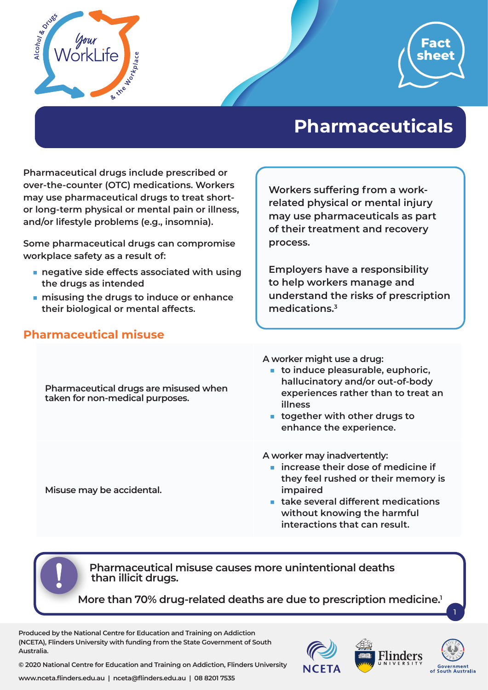



# **Pharmaceuticals**

**Pharmaceutical drugs include prescribed or over-the-counter (OTC) medications. Workers may use pharmaceutical drugs to treat shortor long-term physical or mental pain or illness, and/or lifestyle problems (e.g., insomnia).** 

**Some pharmaceutical drugs can compromise workplace safety as a result of:**

- negative side effects associated with using **the drugs as intended**
- **misusing the drugs to induce or enhance their biological or mental affects.**

### **Pharmaceutical misuse**

**Workers suffering from a workrelated physical or mental injury may use pharmaceuticals as part of their treatment and recovery process.** 

**Employers have a responsibility to help workers manage and understand the risks of prescription medications.3**

**Pharmaceutical drugs are misused when taken for non-medical purposes.**

**Misuse may be accidental.**

**A worker might use a drug:**

- **to induce pleasurable, euphoric, hallucinatory and/or out-of-body experiences rather than to treat an illness**
- **together with other drugs to enhance the experience.**

**A worker may inadvertently:**

- **increase their dose of medicine if they feel rushed or their memory is impaired**
- **take several different medications without knowing the harmful interactions that can result.**

 **Pharmaceutical misuse causes more unintentional deaths than illicit drugs.** 

**More than 70% drug-related deaths are due to prescription medicine.1**

**Produced by the National Centre for Education and Training on Addiction (NCETA), Flinders University with funding from the State Government of South Australia.** 



1

**© 2020 National Centre for Education and Training on Addiction, Flinders University**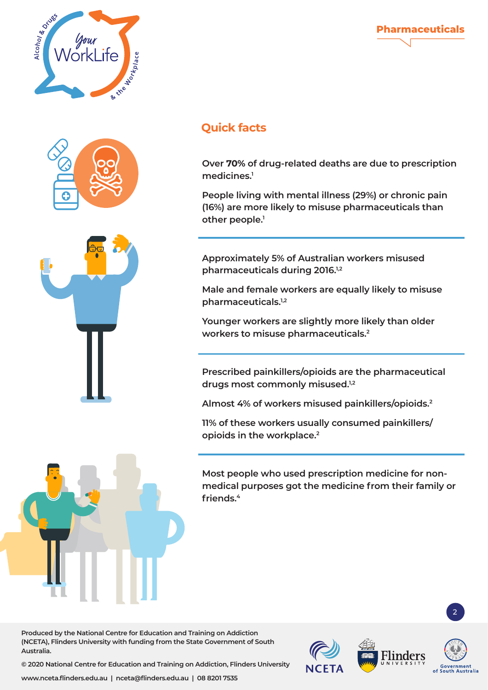





# **Quick facts**

**Over 70% of drug-related deaths are due to prescription medicines.1**

**Pharmaceuticals**

**People living with mental illness (29%) or chronic pain (16%) are more likely to misuse pharmaceuticals than other people.1**

**Approximately 5% of Australian workers misused pharmaceuticals during 2016.1,2**

**Male and female workers are equally likely to misuse pharmaceuticals.1,2**

**Younger workers are slightly more likely than older workers to misuse pharmaceuticals.2**

**Prescribed painkillers/opioids are the pharmaceutical drugs most commonly misused.1,2**

**Almost 4% of workers misused painkillers/opioids.2**

**11% of these workers usually consumed painkillers/ opioids in the workplace.2**

**Most people who used prescription medicine for nonmedical purposes got the medicine from their family or friends.4**

**Produced by the National Centre for Education and Training on Addiction (NCETA), Flinders University with funding from the State Government of South Australia.** 



2

**© 2020 National Centre for Education and Training on Addiction, Flinders University**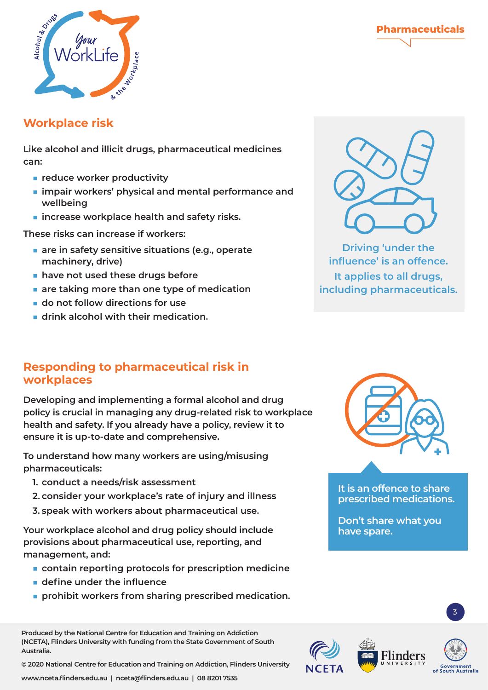



#### **Workplace risk**

**Like alcohol and illicit drugs, pharmaceutical medicines can:**

- **reduce worker productivity**
- **impair workers' physical and mental performance and wellbeing**
- **increase workplace health and safety risks.**

**These risks can increase if workers:**

- are in safety sensitive situations (e.g., operate **machinery, drive)**
- have not used these drugs before
- **are taking more than one type of medication**
- **do not follow directions for use**
- **drink alcohol with their medication.**



**Developing and implementing a formal alcohol and drug policy is crucial in managing any drug-related risk to workplace health and safety. If you already have a policy, review it to ensure it is up-to-date and comprehensive.**

**To understand how many workers are using/misusing pharmaceuticals:**

- **1. conduct a needs/risk assessment**
- **2. consider your workplace's rate of injury and illness**
- **3. speak with workers about pharmaceutical use.**

**Your workplace alcohol and drug policy should include provisions about pharmaceutical use, reporting, and management, and:**

- **contain reporting protocols for prescription medicine**
- **define under the influence**
- **prohibit workers from sharing prescribed medication.**

**Produced by the National Centre for Education and Training on Addiction (NCETA), Flinders University with funding from the State Government of South Australia.** 

**© 2020 National Centre for Education and Training on Addiction, Flinders University**

**www.nceta.flinders.edu.au | nceta@flinders.edu.au | 08 8201 7535**



**Driving 'under the influence' is an offence. It applies to all drugs, including pharmaceuticals.**



**It is an offence to share prescribed medications.** 

**Don't share what you have spare.**



3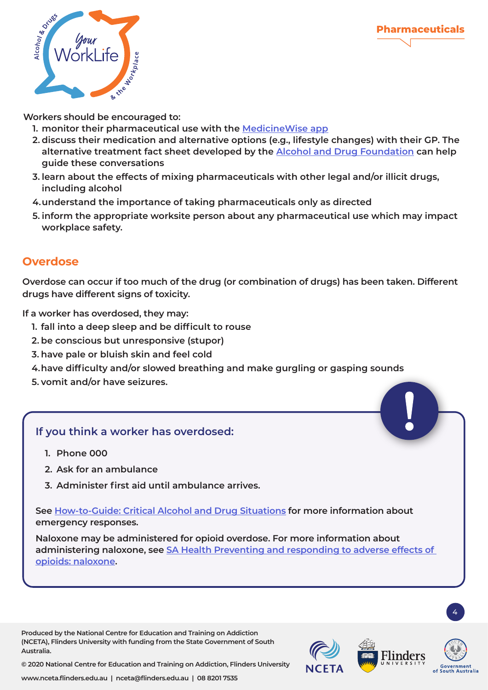

**Workers should be encouraged to:**

- **1. monitor their pharmaceutical use with the [MedicineWise app](https://www.nps.org.au/consumers/medicinewise-app)**
- **2. discuss their medication and alternative options (e.g., lifestyle changes) with their GP. The alternative treatment fact sheet developed by the Alcohol and [Drug Foundation](https://cdn.adf.org.au/media/documents/ADF_Pharma_Factsheet_Alternative_treatments.pdf) can help guide these conversations**
- **3. learn about the effects of mixing pharmaceuticals with other legal and/or illicit drugs, including alcohol**
- **4.understand the importance of taking pharmaceuticals only as directed**
- **5. inform the appropriate worksite person about any pharmaceutical use which may impact workplace safety.**

## **Overdose**

**Overdose can occur if too much of the drug (or combination of drugs) has been taken. Different drugs have different signs of toxicity.** 

**If a worker has overdosed, they may:**

- **1. fall into a deep sleep and be difficult to rouse**
- **2. be conscious but unresponsive (stupor)**
- **3. have pale or bluish skin and feel cold**
- **4.have difficulty and/or slowed breathing and make gurgling or gasping sounds**
- **5. vomit and/or have seizures.**

#### **If you think a worker has overdosed:**

- **1. Phone 000**
- **2. Ask for an ambulance**
- **3. Administer first aid until ambulance arrives.**

**See [How-to-Guide: Critical Alcohol and Drug Situations](https://worklife.flinders.edu.au/download_file/623/0) for more information about emergency responses.** 

**Naloxone may be administered for opioid overdose. For more information about administering naloxone, see [SA Health Preventing and responding to adverse effects of](https://www.sahealth.sa.gov.au/wps/wcm/connect/public+content/sa+health+internet/clinical+resources/clinical+programs+and+practice+guidelines/medicines+and+drugs/opioids/opioid+overdose+prevention+and+response+-+naloxone)  [opioids: naloxone](https://www.sahealth.sa.gov.au/wps/wcm/connect/public+content/sa+health+internet/clinical+resources/clinical+programs+and+practice+guidelines/medicines+and+drugs/opioids/opioid+overdose+prevention+and+response+-+naloxone).**

**Produced by the National Centre for Education and Training on Addiction (NCETA), Flinders University with funding from the State Government of South Australia.** 



4

**© 2020 National Centre for Education and Training on Addiction, Flinders University**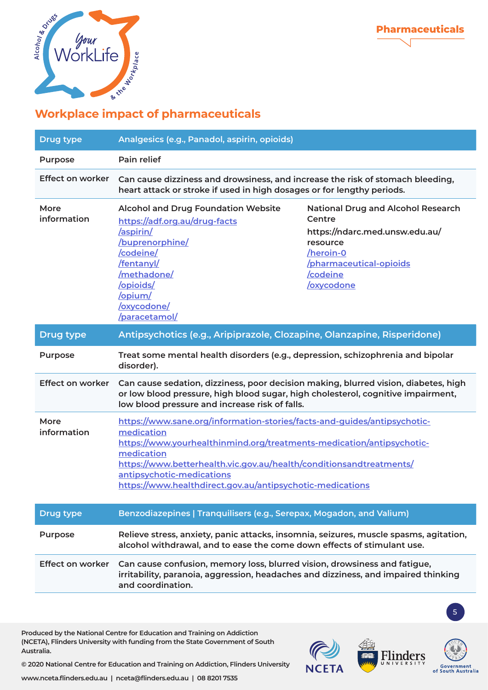



| <b>Drug type</b>        | Analgesics (e.g., Panadol, aspirin, opioids)                                                                                                                                                                                                                                                                                                   |                                                                                                                                                                           |
|-------------------------|------------------------------------------------------------------------------------------------------------------------------------------------------------------------------------------------------------------------------------------------------------------------------------------------------------------------------------------------|---------------------------------------------------------------------------------------------------------------------------------------------------------------------------|
| Purpose                 | Pain relief                                                                                                                                                                                                                                                                                                                                    |                                                                                                                                                                           |
| Effect on worker        | Can cause dizziness and drowsiness, and increase the risk of stomach bleeding,<br>heart attack or stroke if used in high dosages or for lengthy periods.                                                                                                                                                                                       |                                                                                                                                                                           |
| More<br>information     | <b>Alcohol and Drug Foundation Website</b><br>https://adf.org.au/drug-facts<br>/aspirin/<br>/buprenorphine/<br>/codeine/<br>/fentanyl/<br>/methadone/<br>/opioids/<br>/opium/<br>/oxycodone/<br>/paracetamol/                                                                                                                                  | <b>National Drug and Alcohol Research</b><br>Centre<br>https://ndarc.med.unsw.edu.au/<br>resource<br>/heroin-0<br>/pharmaceutical-opioids<br>/codeine<br><b>oxycodone</b> |
| <b>Drug type</b>        | Antipsychotics (e.g., Aripiprazole, Clozapine, Olanzapine, Risperidone)                                                                                                                                                                                                                                                                        |                                                                                                                                                                           |
| Purpose                 | Treat some mental health disorders (e.g., depression, schizophrenia and bipolar<br>disorder).                                                                                                                                                                                                                                                  |                                                                                                                                                                           |
| <b>Effect on worker</b> | Can cause sedation, dizziness, poor decision making, blurred vision, diabetes, high<br>or low blood pressure, high blood sugar, high cholesterol, cognitive impairment,<br>low blood pressure and increase risk of falls.                                                                                                                      |                                                                                                                                                                           |
| More<br>information     | https://www.sane.org/information-stories/facts-and-guides/antipsychotic-<br>medication<br>https://www.yourhealthinmind.org/treatments-medication/antipsychotic-<br>medication<br>https://www.betterhealth.vic.gov.au/health/conditionsandtreatments/<br>antipsychotic-medications<br>https://www.healthdirect.gov.au/antipsychotic-medications |                                                                                                                                                                           |
| <b>Drug type</b>        | Benzodiazepines   Tranquilisers (e.g., Serepax, Mogadon, and Valium)                                                                                                                                                                                                                                                                           |                                                                                                                                                                           |
| <b>Purpose</b>          | Relieve stress, anxiety, panic attacks, insomnia, seizures, muscle spasms, agitation,<br>alcohol withdrawal, and to ease the come down effects of stimulant use.                                                                                                                                                                               |                                                                                                                                                                           |
| <b>Effect on worker</b> | Can cause confusion, memory loss, blurred vision, drowsiness and fatigue,<br>irritability, paranoia, aggression, headaches and dizziness, and impaired thinking<br>and coordination.                                                                                                                                                           |                                                                                                                                                                           |

**Produced by the National Centre for Education and Training on Addiction (NCETA), Flinders University with funding from the State Government of South Australia.** 



5

**© 2020 National Centre for Education and Training on Addiction, Flinders University**